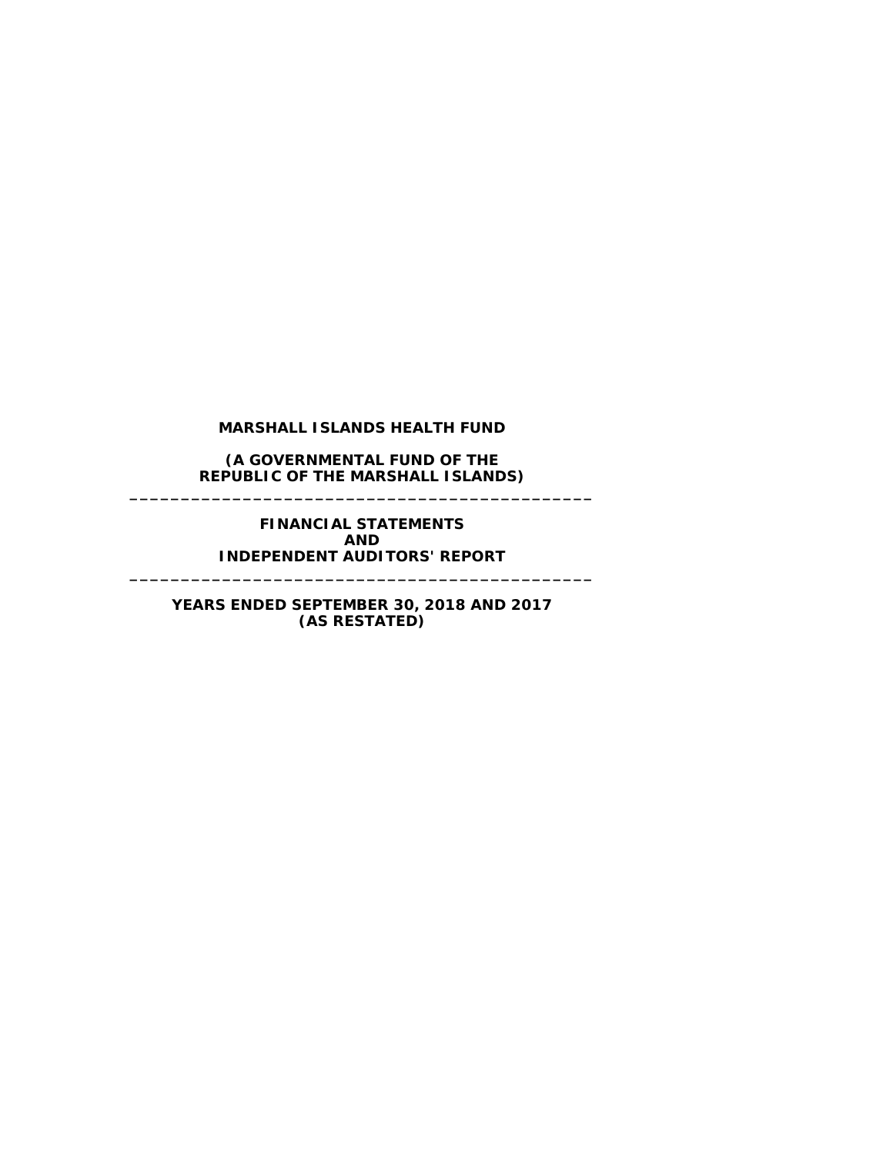**(A GOVERNMENTAL FUND OF THE REPUBLIC OF THE MARSHALL ISLANDS) \_\_\_\_\_\_\_\_\_\_\_\_\_\_\_\_\_\_\_\_\_\_\_\_\_\_\_\_\_\_\_\_\_\_\_\_\_\_\_\_\_\_\_\_\_**

> **FINANCIAL STATEMENTS AND INDEPENDENT AUDITORS' REPORT**

**\_\_\_\_\_\_\_\_\_\_\_\_\_\_\_\_\_\_\_\_\_\_\_\_\_\_\_\_\_\_\_\_\_\_\_\_\_\_\_\_\_\_\_\_\_**

**YEARS ENDED SEPTEMBER 30, 2018 AND 2017 (AS RESTATED)**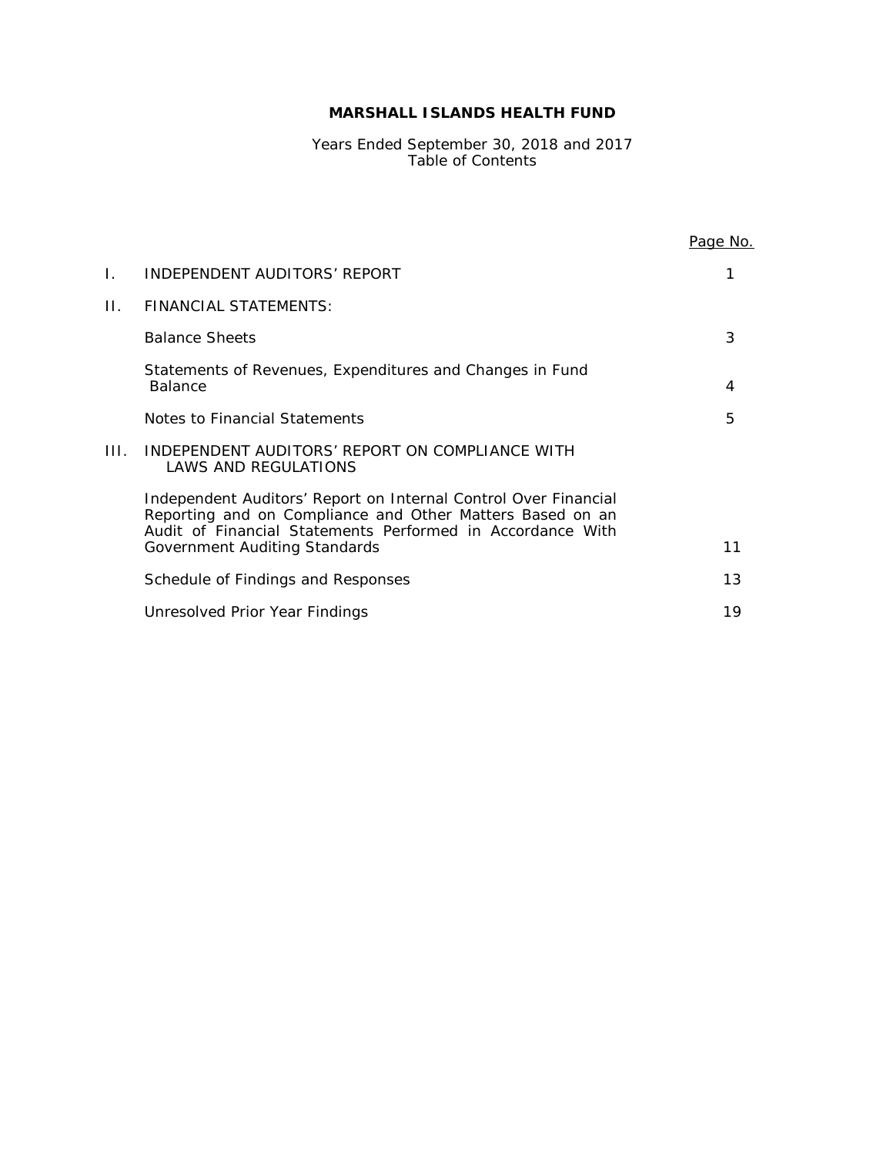Years Ended September 30, 2018 and 2017 Table of Contents

|      |                                                                                                                                                                                                                             | Page No. |
|------|-----------------------------------------------------------------------------------------------------------------------------------------------------------------------------------------------------------------------------|----------|
| L.   | INDEPENDENT AUDITORS' REPORT                                                                                                                                                                                                |          |
| Н.   | <b>FINANCIAL STATEMENTS:</b>                                                                                                                                                                                                |          |
|      | <b>Balance Sheets</b>                                                                                                                                                                                                       | 3        |
|      | Statements of Revenues, Expenditures and Changes in Fund<br><b>Balance</b>                                                                                                                                                  | 4        |
|      | Notes to Financial Statements                                                                                                                                                                                               | 5        |
| III. | INDEPENDENT AUDITORS' REPORT ON COMPLIANCE WITH<br><b>LAWS AND REGULATIONS</b>                                                                                                                                              |          |
|      | Independent Auditors' Report on Internal Control Over Financial<br>Reporting and on Compliance and Other Matters Based on an<br>Audit of Financial Statements Performed in Accordance With<br>Government Auditing Standards | 11       |
|      |                                                                                                                                                                                                                             |          |
|      | Schedule of Findings and Responses                                                                                                                                                                                          | 13       |
|      | Unresolved Prior Year Findings                                                                                                                                                                                              | 19       |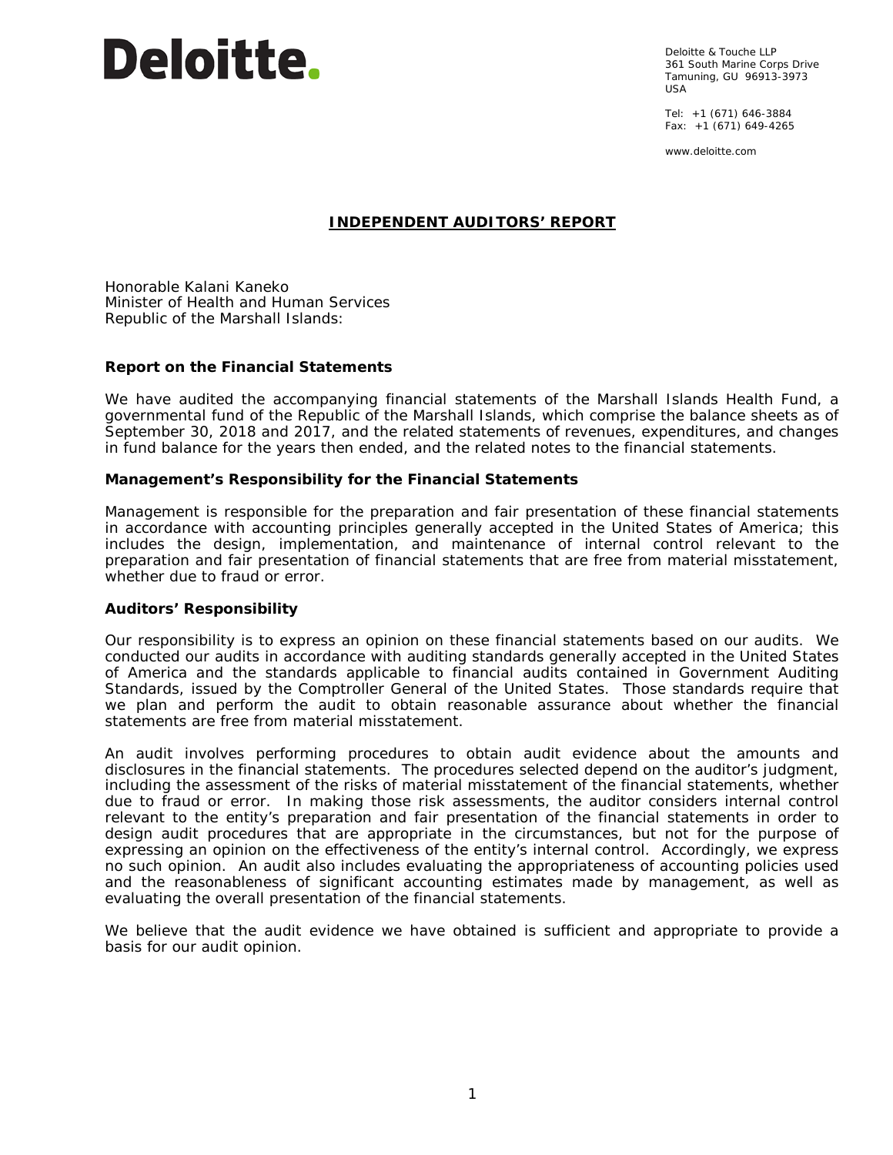# **Deloitte**.

Deloitte & Touche LLP 361 South Marine Corps Drive Tamuning, GU 96913-3973 USA

Tel: +1 (671) 646-3884 Fax: +1 (671) 649-4265

www.deloitte.com

# **INDEPENDENT AUDITORS' REPORT**

Honorable Kalani Kaneko Minister of Health and Human Services Republic of the Marshall Islands:

# **Report on the Financial Statements**

We have audited the accompanying financial statements of the Marshall Islands Health Fund, a governmental fund of the Republic of the Marshall Islands, which comprise the balance sheets as of September 30, 2018 and 2017, and the related statements of revenues, expenditures, and changes in fund balance for the years then ended, and the related notes to the financial statements.

#### *Management's Responsibility for the Financial Statements*

Management is responsible for the preparation and fair presentation of these financial statements in accordance with accounting principles generally accepted in the United States of America; this includes the design, implementation, and maintenance of internal control relevant to the preparation and fair presentation of financial statements that are free from material misstatement, whether due to fraud or error.

#### *Auditors' Responsibility*

Our responsibility is to express an opinion on these financial statements based on our audits. We conducted our audits in accordance with auditing standards generally accepted in the United States of America and the standards applicable to financial audits contained in *Government Auditing Standards*, issued by the Comptroller General of the United States. Those standards require that we plan and perform the audit to obtain reasonable assurance about whether the financial statements are free from material misstatement.

An audit involves performing procedures to obtain audit evidence about the amounts and disclosures in the financial statements. The procedures selected depend on the auditor's judgment, including the assessment of the risks of material misstatement of the financial statements, whether due to fraud or error. In making those risk assessments, the auditor considers internal control relevant to the entity's preparation and fair presentation of the financial statements in order to design audit procedures that are appropriate in the circumstances, but not for the purpose of expressing an opinion on the effectiveness of the entity's internal control. Accordingly, we express no such opinion. An audit also includes evaluating the appropriateness of accounting policies used and the reasonableness of significant accounting estimates made by management, as well as evaluating the overall presentation of the financial statements.

We believe that the audit evidence we have obtained is sufficient and appropriate to provide a basis for our audit opinion.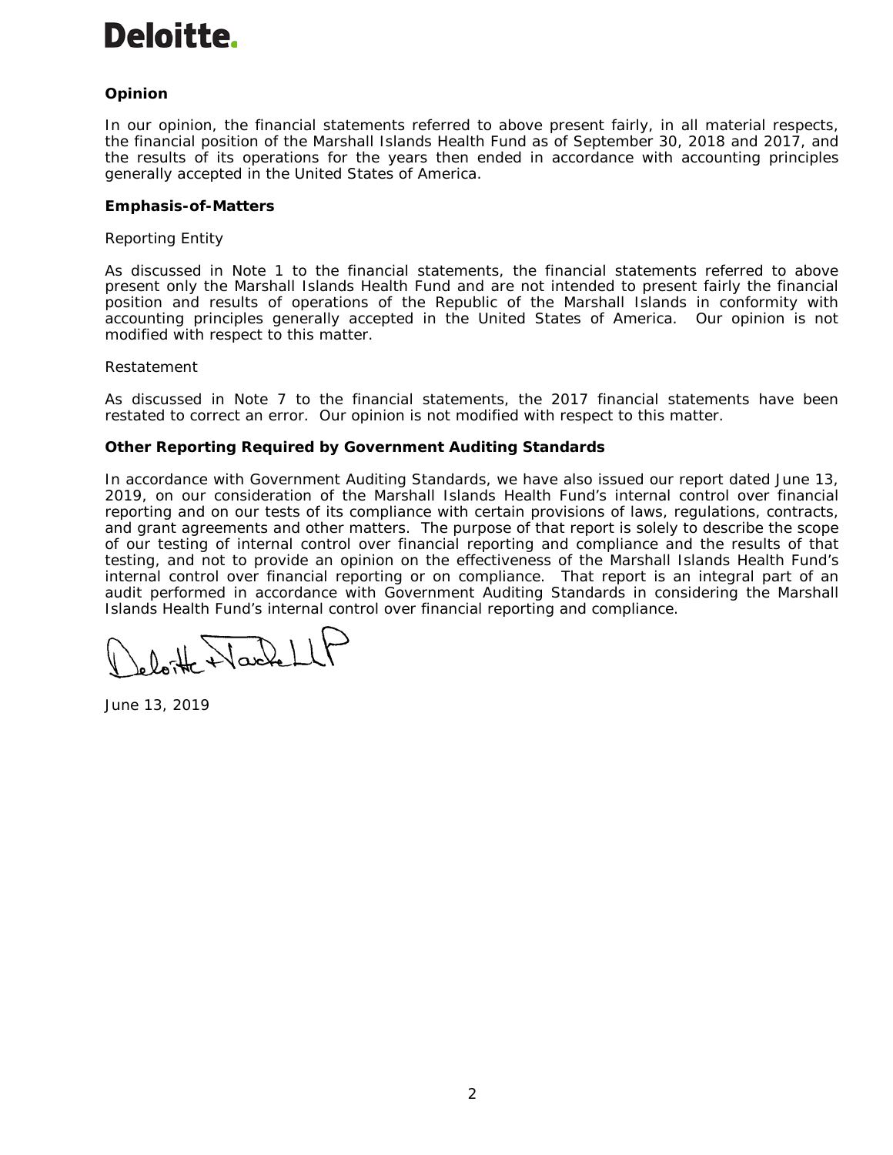# Deloitte.

# *Opinion*

In our opinion, the financial statements referred to above present fairly, in all material respects, the financial position of the Marshall Islands Health Fund as of September 30, 2018 and 2017, and the results of its operations for the years then ended in accordance with accounting principles generally accepted in the United States of America.

# *Emphasis-of-Matters*

# *Reporting Entity*

As discussed in Note 1 to the financial statements, the financial statements referred to above present only the Marshall Islands Health Fund and are not intended to present fairly the financial position and results of operations of the Republic of the Marshall Islands in conformity with accounting principles generally accepted in the United States of America. Our opinion is not modified with respect to this matter.

#### *Restatement*

As discussed in Note 7 to the financial statements, the 2017 financial statements have been restated to correct an error. Our opinion is not modified with respect to this matter.

# **Other Reporting Required by** *Government Auditing Standards*

In accordance with *Government Auditing Standards*, we have also issued our report dated June 13, 2019, on our consideration of the Marshall Islands Health Fund's internal control over financial reporting and on our tests of its compliance with certain provisions of laws, regulations, contracts, and grant agreements and other matters. The purpose of that report is solely to describe the scope of our testing of internal control over financial reporting and compliance and the results of that testing, and not to provide an opinion on the effectiveness of the Marshall Islands Health Fund's internal control over financial reporting or on compliance. That report is an integral part of an audit performed in accordance with *Government Auditing Standards* in considering the Marshall Islands Health Fund's internal control over financial reporting and compliance.

loite Wackell

June 13, 2019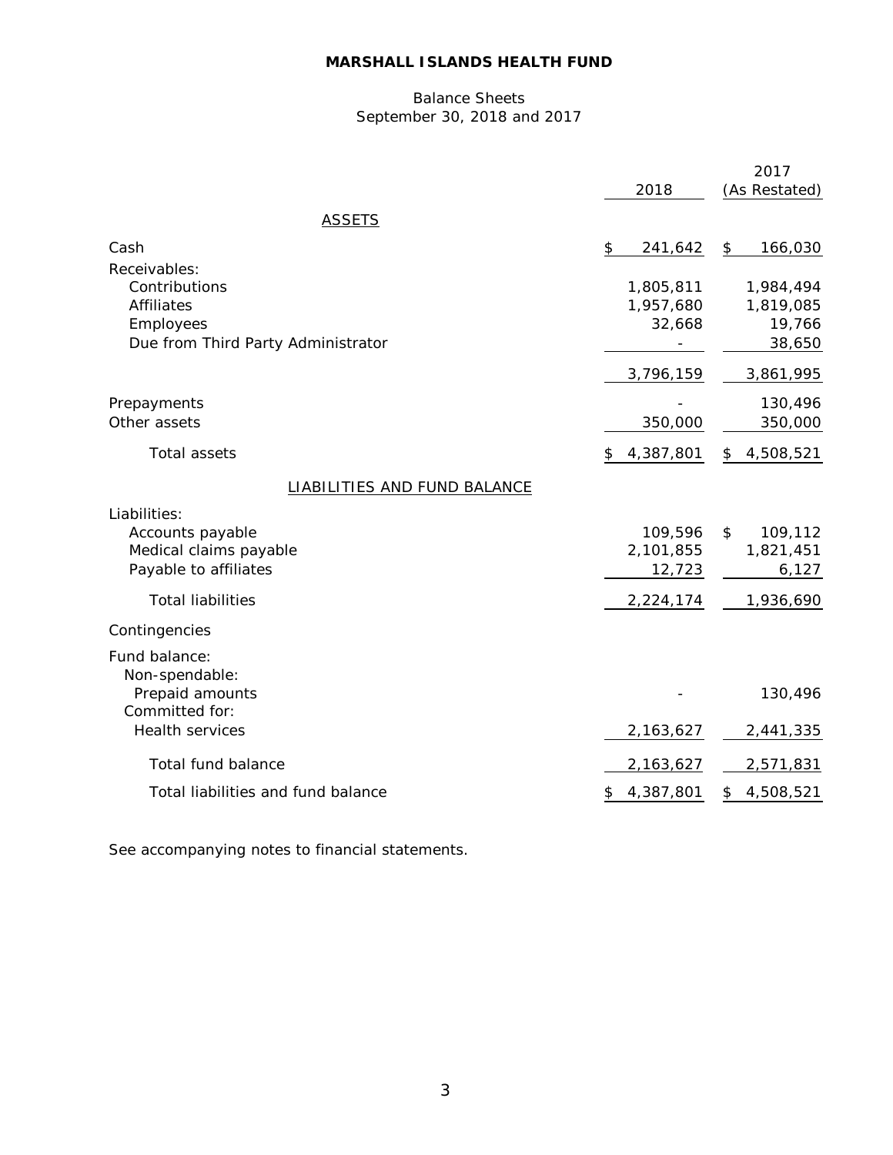# Balance Sheets September 30, 2018 and 2017

|                                                                                                |                                               | 2017                                                    |
|------------------------------------------------------------------------------------------------|-----------------------------------------------|---------------------------------------------------------|
|                                                                                                | 2018                                          | (As Restated)                                           |
| <b>ASSETS</b>                                                                                  |                                               |                                                         |
| Cash                                                                                           | \$<br>241,642                                 | 166,030<br>\$                                           |
| Receivables:<br>Contributions<br>Affiliates<br>Employees<br>Due from Third Party Administrator | 1,805,811<br>1,957,680<br>32,668<br>3,796,159 | 1,984,494<br>1,819,085<br>19,766<br>38,650<br>3,861,995 |
| Prepayments<br>Other assets                                                                    | 350,000                                       | 130,496<br>350,000                                      |
| <b>Total assets</b>                                                                            | 4,387,801<br>\$                               | 4,508,521<br>\$                                         |
| <b>LIABILITIES AND FUND BALANCE</b>                                                            |                                               |                                                         |
| Liabilities:<br>Accounts payable<br>Medical claims payable<br>Payable to affiliates            | 109,596<br>2,101,855<br>12,723                | \$<br>109,112<br>1,821,451<br>6,127                     |
| <b>Total liabilities</b>                                                                       | 2,224,174                                     | 1,936,690                                               |
| Contingencies                                                                                  |                                               |                                                         |
| Fund balance:<br>Non-spendable:<br>Prepaid amounts                                             |                                               | 130,496                                                 |
| Committed for:<br><b>Health services</b>                                                       | 2,163,627                                     | 2,441,335                                               |
| Total fund balance                                                                             | 2,163,627                                     | 2,571,831                                               |
| Total liabilities and fund balance                                                             | 4,387,801<br>\$                               | 4,508,521<br>\$                                         |

See accompanying notes to financial statements.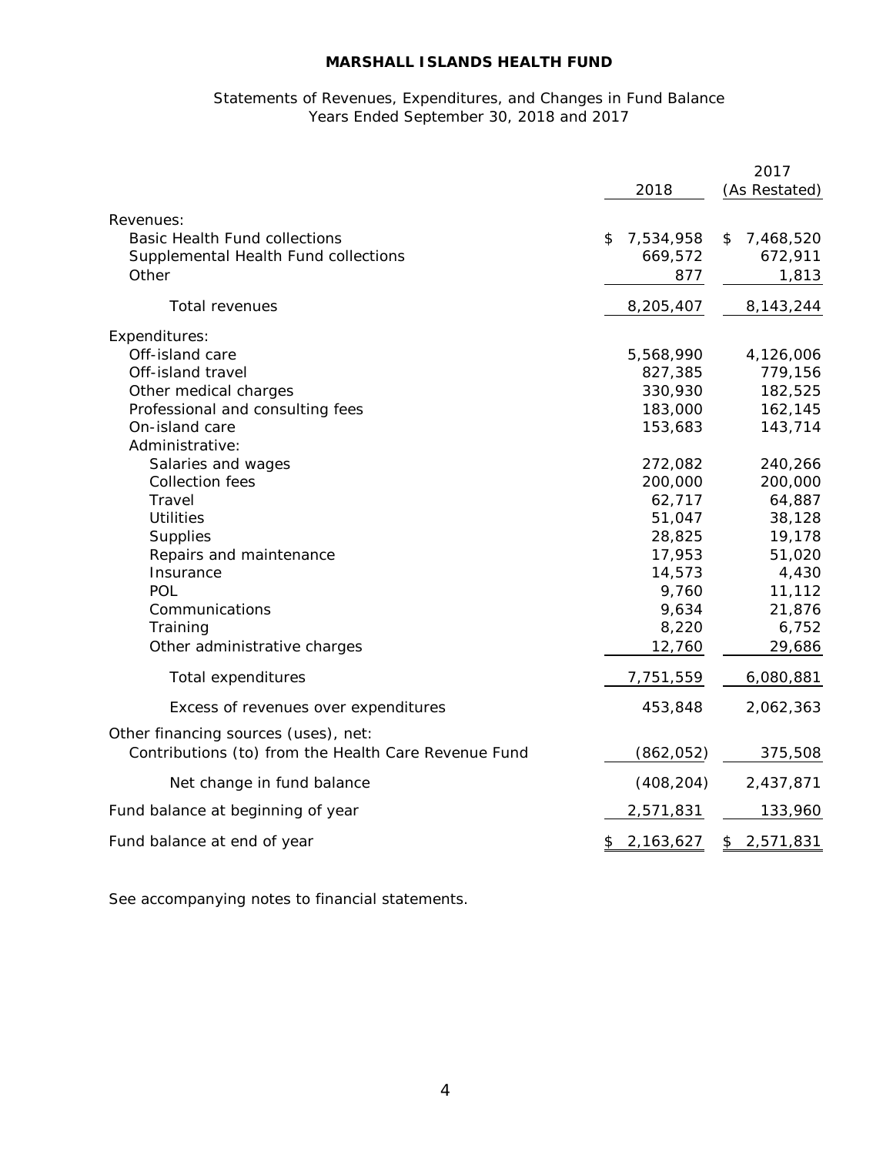# Statements of Revenues, Expenditures, and Changes in Fund Balance Years Ended September 30, 2018 and 2017

|                                                      | 2018            | 2017<br>(As Restated) |
|------------------------------------------------------|-----------------|-----------------------|
| Revenues:                                            |                 |                       |
| <b>Basic Health Fund collections</b>                 | \$<br>7,534,958 | \$<br>7,468,520       |
| Supplemental Health Fund collections<br>Other        | 669,572<br>877  | 672,911<br>1,813      |
| <b>Total revenues</b>                                | 8,205,407       | 8,143,244             |
| Expenditures:                                        |                 |                       |
| Off-island care                                      | 5,568,990       | 4,126,006             |
| Off-island travel                                    | 827,385         | 779,156               |
| Other medical charges                                | 330,930         | 182,525               |
| Professional and consulting fees                     | 183,000         | 162,145               |
| On-island care                                       | 153,683         | 143,714               |
| Administrative:<br>Salaries and wages                | 272,082         | 240,266               |
| <b>Collection fees</b>                               | 200,000         | 200,000               |
| Travel                                               | 62,717          | 64,887                |
| <b>Utilities</b>                                     | 51,047          | 38,128                |
| Supplies                                             | 28,825          | 19,178                |
| Repairs and maintenance                              | 17,953          | 51,020                |
| Insurance                                            | 14,573          | 4,430                 |
| <b>POL</b>                                           | 9,760           | 11,112                |
| Communications                                       | 9,634           | 21,876                |
| Training                                             | 8,220           | 6,752                 |
| Other administrative charges                         | 12,760          | 29,686                |
| Total expenditures                                   | 7,751,559       | 6,080,881             |
| Excess of revenues over expenditures                 | 453,848         | 2,062,363             |
| Other financing sources (uses), net:                 |                 |                       |
| Contributions (to) from the Health Care Revenue Fund | (862, 052)      | 375,508               |
| Net change in fund balance                           | (408, 204)      | 2,437,871             |
| Fund balance at beginning of year                    | 2,571,831       | 133,960               |
| Fund balance at end of year                          | \$<br>2,163,627 | \$2,571,831           |

See accompanying notes to financial statements.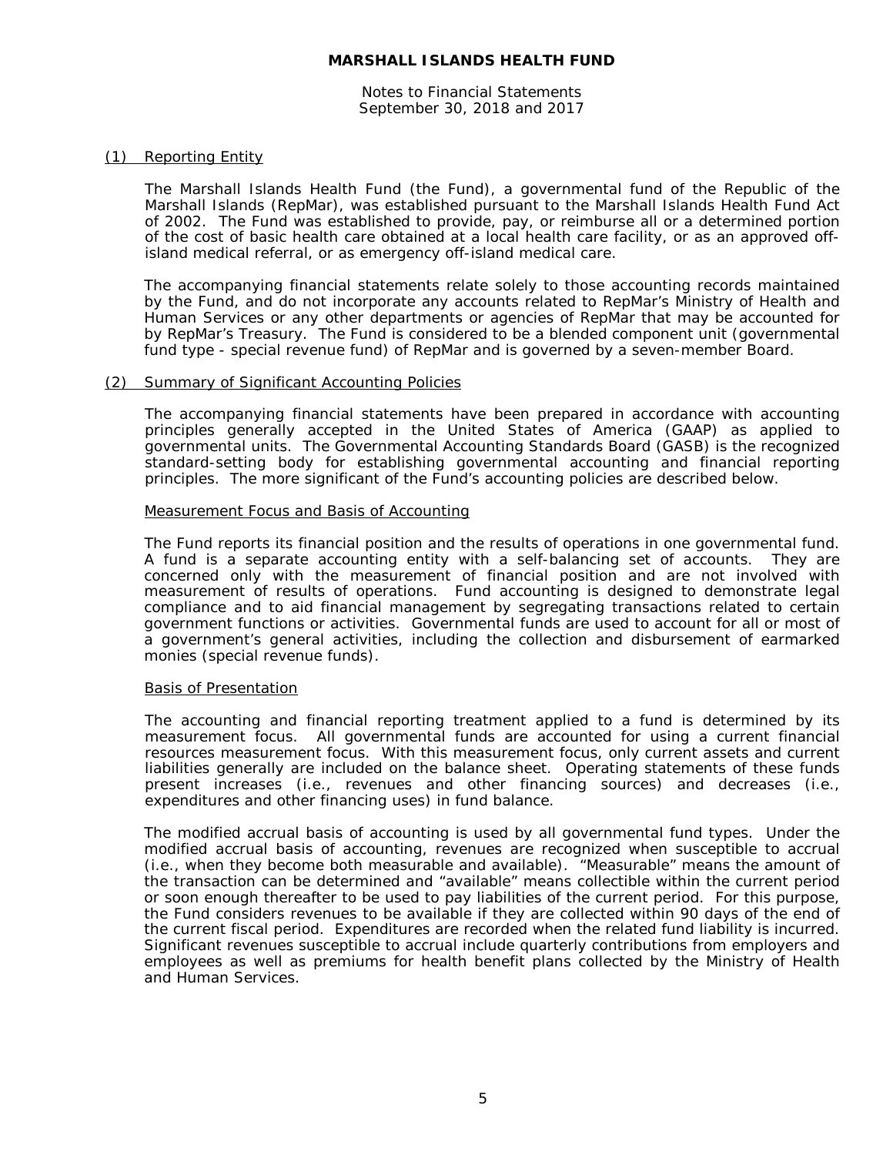Notes to Financial Statements September 30, 2018 and 2017

#### (1) Reporting Entity

The Marshall Islands Health Fund (the Fund), a governmental fund of the Republic of the Marshall Islands (RepMar), was established pursuant to the Marshall Islands Health Fund Act of 2002. The Fund was established to provide, pay, or reimburse all or a determined portion of the cost of basic health care obtained at a local health care facility, or as an approved offisland medical referral, or as emergency off-island medical care.

The accompanying financial statements relate solely to those accounting records maintained by the Fund, and do not incorporate any accounts related to RepMar's Ministry of Health and Human Services or any other departments or agencies of RepMar that may be accounted for by RepMar's Treasury. The Fund is considered to be a blended component unit (governmental fund type - special revenue fund) of RepMar and is governed by a seven-member Board.

#### (2) Summary of Significant Accounting Policies

The accompanying financial statements have been prepared in accordance with accounting principles generally accepted in the United States of America (GAAP) as applied to governmental units. The Governmental Accounting Standards Board (GASB) is the recognized standard-setting body for establishing governmental accounting and financial reporting principles. The more significant of the Fund's accounting policies are described below.

#### Measurement Focus and Basis of Accounting

The Fund reports its financial position and the results of operations in one governmental fund. A fund is a separate accounting entity with a self-balancing set of accounts. They are concerned only with the measurement of financial position and are not involved with measurement of results of operations. Fund accounting is designed to demonstrate legal compliance and to aid financial management by segregating transactions related to certain government functions or activities. Governmental funds are used to account for all or most of a government's general activities, including the collection and disbursement of earmarked monies (special revenue funds).

#### Basis of Presentation

The accounting and financial reporting treatment applied to a fund is determined by its measurement focus. All governmental funds are accounted for using a current financial resources measurement focus. With this measurement focus, only current assets and current liabilities generally are included on the balance sheet. Operating statements of these funds present increases (i.e., revenues and other financing sources) and decreases (i.e., expenditures and other financing uses) in fund balance.

The modified accrual basis of accounting is used by all governmental fund types. Under the modified accrual basis of accounting, revenues are recognized when susceptible to accrual (i.e., when they become both measurable and available). "Measurable" means the amount of the transaction can be determined and "available" means collectible within the current period or soon enough thereafter to be used to pay liabilities of the current period. For this purpose, the Fund considers revenues to be available if they are collected within 90 days of the end of the current fiscal period. Expenditures are recorded when the related fund liability is incurred. Significant revenues susceptible to accrual include quarterly contributions from employers and employees as well as premiums for health benefit plans collected by the Ministry of Health and Human Services.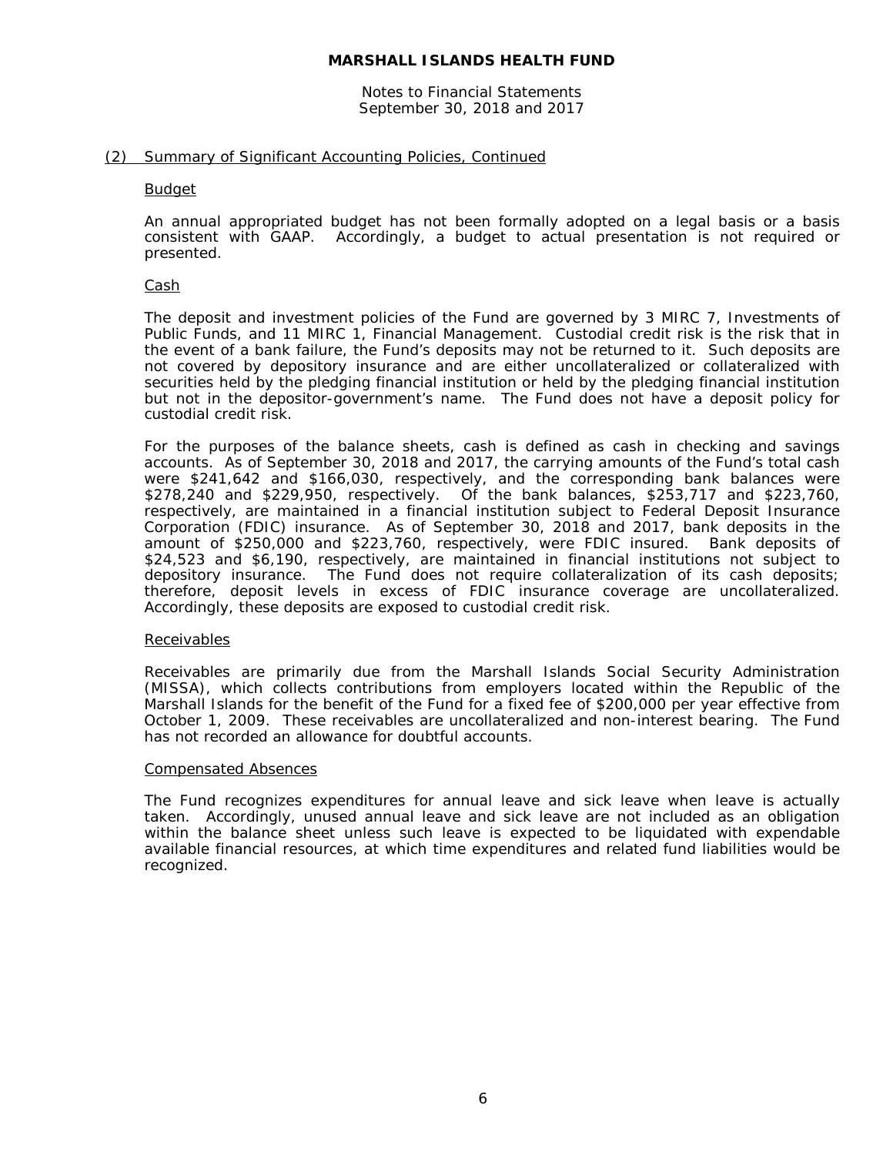Notes to Financial Statements September 30, 2018 and 2017

#### (2) Summary of Significant Accounting Policies, Continued

#### **Budget**

An annual appropriated budget has not been formally adopted on a legal basis or a basis consistent with GAAP. Accordingly, a budget to actual presentation is not required or presented.

#### Cash

The deposit and investment policies of the Fund are governed by 3 MIRC 7, *Investments of Public Funds*, and 11 MIRC 1, *Financial Management*. Custodial credit risk is the risk that in the event of a bank failure, the Fund's deposits may not be returned to it. Such deposits are not covered by depository insurance and are either uncollateralized or collateralized with securities held by the pledging financial institution or held by the pledging financial institution but not in the depositor-government's name. The Fund does not have a deposit policy for custodial credit risk.

For the purposes of the balance sheets, cash is defined as cash in checking and savings accounts. As of September 30, 2018 and 2017, the carrying amounts of the Fund's total cash were \$241,642 and \$166,030, respectively, and the corresponding bank balances were \$278,240 and \$229,950, respectively. Of the bank balances, \$253,717 and \$223,760, respectively, are maintained in a financial institution subject to Federal Deposit Insurance Corporation (FDIC) insurance. As of September 30, 2018 and 2017, bank deposits in the amount of \$250,000 and \$223,760, respectively, were FDIC insured. Bank deposits of \$24,523 and \$6,190, respectively, are maintained in financial institutions not subject to depository insurance. The Fund does not require collateralization of its cash deposits; therefore, deposit levels in excess of FDIC insurance coverage are uncollateralized. Accordingly, these deposits are exposed to custodial credit risk.

#### Receivables

Receivables are primarily due from the Marshall Islands Social Security Administration (MISSA), which collects contributions from employers located within the Republic of the Marshall Islands for the benefit of the Fund for a fixed fee of \$200,000 per year effective from October 1, 2009. These receivables are uncollateralized and non-interest bearing. The Fund has not recorded an allowance for doubtful accounts.

#### Compensated Absences

The Fund recognizes expenditures for annual leave and sick leave when leave is actually taken. Accordingly, unused annual leave and sick leave are not included as an obligation within the balance sheet unless such leave is expected to be liquidated with expendable available financial resources, at which time expenditures and related fund liabilities would be recognized.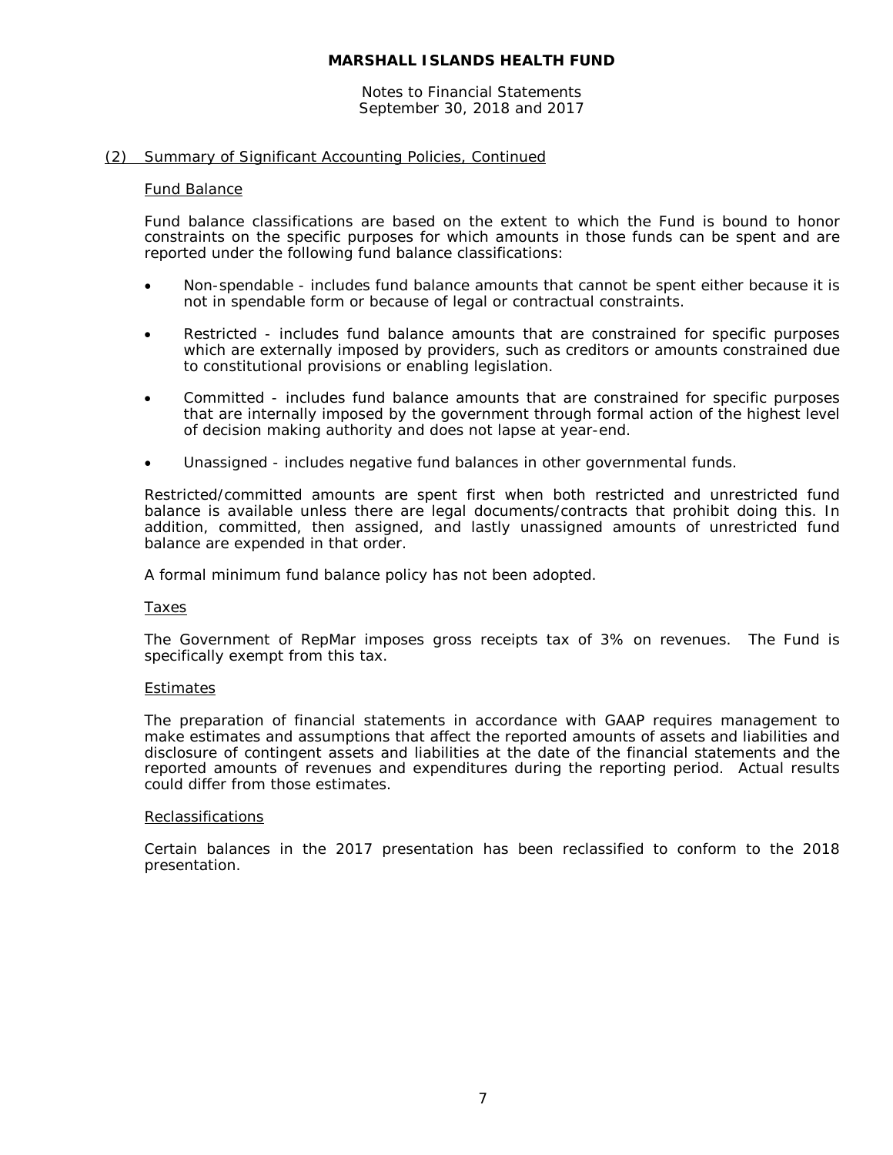Notes to Financial Statements September 30, 2018 and 2017

#### (2) Summary of Significant Accounting Policies, Continued

#### Fund Balance

Fund balance classifications are based on the extent to which the Fund is bound to honor constraints on the specific purposes for which amounts in those funds can be spent and are reported under the following fund balance classifications:

- Non-spendable includes fund balance amounts that cannot be spent either because it is not in spendable form or because of legal or contractual constraints.
- Restricted includes fund balance amounts that are constrained for specific purposes which are externally imposed by providers, such as creditors or amounts constrained due to constitutional provisions or enabling legislation.
- Committed includes fund balance amounts that are constrained for specific purposes that are internally imposed by the government through formal action of the highest level of decision making authority and does not lapse at year-end.
- Unassigned includes negative fund balances in other governmental funds.

Restricted/committed amounts are spent first when both restricted and unrestricted fund balance is available unless there are legal documents/contracts that prohibit doing this. In addition, committed, then assigned, and lastly unassigned amounts of unrestricted fund balance are expended in that order.

A formal minimum fund balance policy has not been adopted.

#### Taxes

The Government of RepMar imposes gross receipts tax of 3% on revenues. The Fund is specifically exempt from this tax.

#### Estimates

The preparation of financial statements in accordance with GAAP requires management to make estimates and assumptions that affect the reported amounts of assets and liabilities and disclosure of contingent assets and liabilities at the date of the financial statements and the reported amounts of revenues and expenditures during the reporting period. Actual results could differ from those estimates.

#### Reclassifications

Certain balances in the 2017 presentation has been reclassified to conform to the 2018 presentation.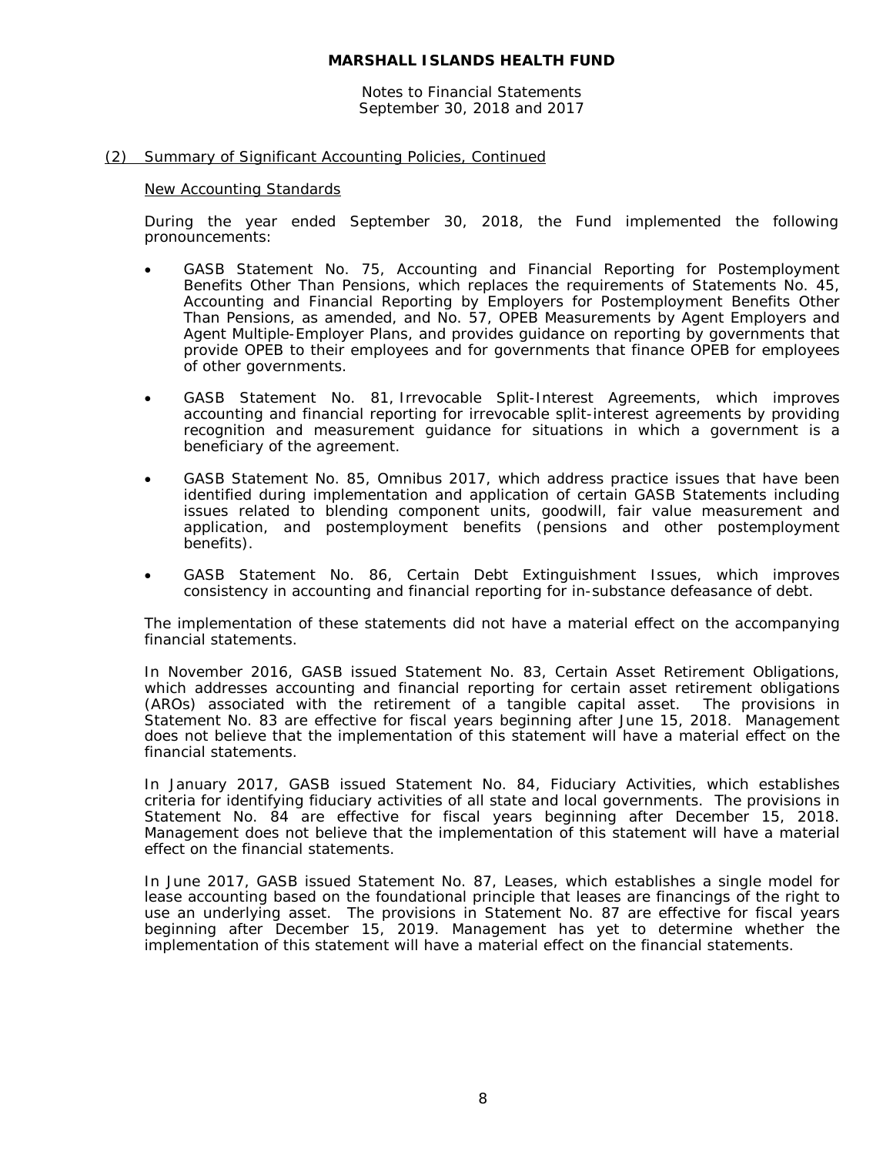Notes to Financial Statements September 30, 2018 and 2017

#### (2) Summary of Significant Accounting Policies, Continued

#### New Accounting Standards

During the year ended September 30, 2018, the Fund implemented the following pronouncements:

- GASB Statement No. 75, *Accounting and Financial Reporting for Postemployment Benefits Other Than Pensions*, which replaces the requirements of Statements No. 45, *Accounting and Financial Reporting by Employers for Postemployment Benefits Other Than Pensions*, as amended, and No. 57, *OPEB Measurements by Agent Employers and Agent Multiple-Employer Plans*, and provides guidance on reporting by governments that provide OPEB to their employees and for governments that finance OPEB for employees of other governments.
- GASB Statement No. 81, *Irrevocable Split-Interest Agreements,* which improves accounting and financial reporting for irrevocable split-interest agreements by providing recognition and measurement guidance for situations in which a government is a beneficiary of the agreement.
- GASB Statement No. 85, *Omnibus 2017*, which address practice issues that have been identified during implementation and application of certain GASB Statements including issues related to blending component units, goodwill, fair value measurement and application, and postemployment benefits (pensions and other postemployment benefits).
- GASB Statement No. 86, *Certain Debt Extinguishment Issues*, which improves consistency in accounting and financial reporting for in-substance defeasance of debt.

The implementation of these statements did not have a material effect on the accompanying financial statements.

In November 2016, GASB issued Statement No. 83, *Certain Asset Retirement Obligations*, which addresses accounting and financial reporting for certain asset retirement obligations (AROs) associated with the retirement of a tangible capital asset. The provisions in Statement No. 83 are effective for fiscal years beginning after June 15, 2018. Management does not believe that the implementation of this statement will have a material effect on the financial statements.

In January 2017, GASB issued Statement No. 84, *Fiduciary Activities*, which establishes criteria for identifying fiduciary activities of all state and local governments. The provisions in Statement No. 84 are effective for fiscal years beginning after December 15, 2018. Management does not believe that the implementation of this statement will have a material effect on the financial statements.

In June 2017, GASB issued Statement No. 87, *Leases*, which establishes a single model for lease accounting based on the foundational principle that leases are financings of the right to use an underlying asset. The provisions in Statement No. 87 are effective for fiscal years beginning after December 15, 2019. Management has yet to determine whether the implementation of this statement will have a material effect on the financial statements.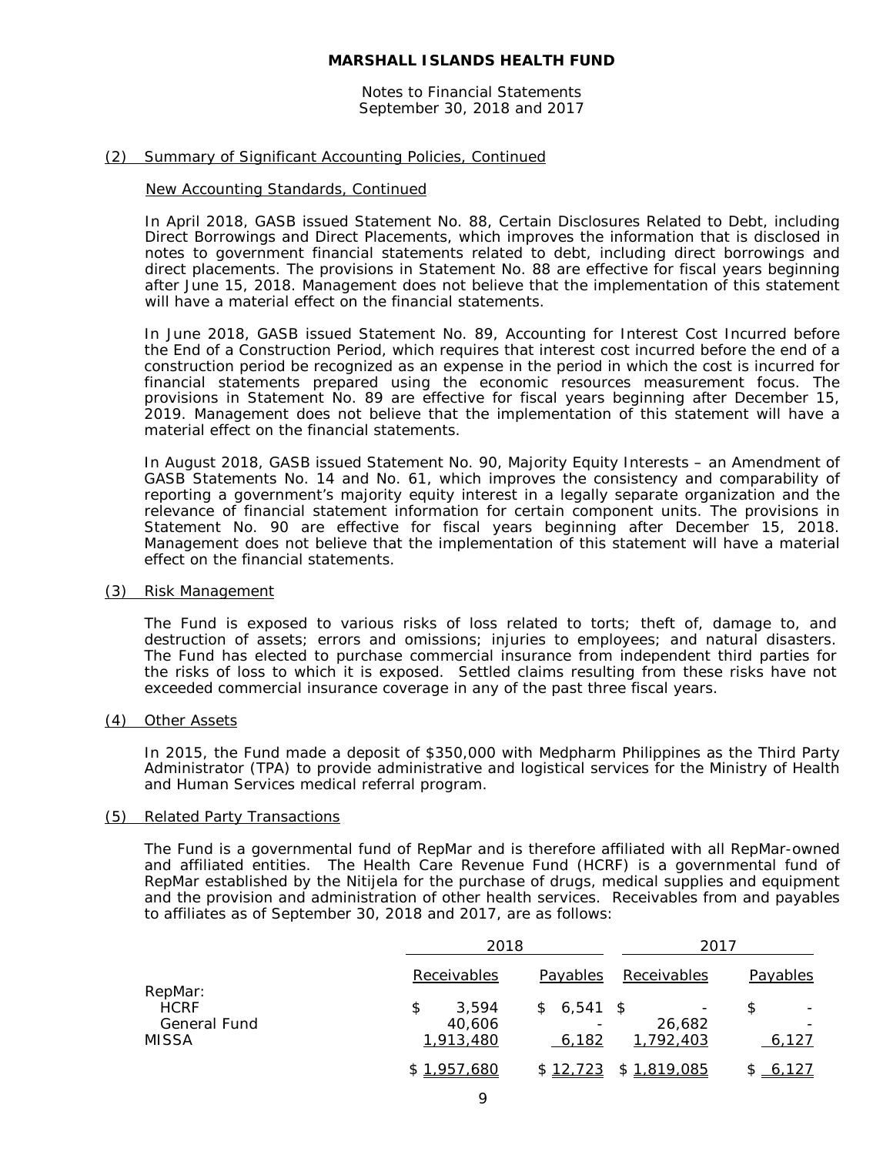Notes to Financial Statements September 30, 2018 and 2017

#### (2) Summary of Significant Accounting Policies, Continued

#### New Accounting Standards, Continued

In April 2018, GASB issued Statement No. 88, *Certain Disclosures Related to Debt, including Direct Borrowings and Direct Placements*, which improves the information that is disclosed in notes to government financial statements related to debt, including direct borrowings and direct placements. The provisions in Statement No. 88 are effective for fiscal years beginning after June 15, 2018. Management does not believe that the implementation of this statement will have a material effect on the financial statements.

In June 2018, GASB issued Statement No. 89, *Accounting for Interest Cost Incurred before the End of a Construction Period*, which requires that interest cost incurred before the end of a construction period be recognized as an expense in the period in which the cost is incurred for financial statements prepared using the economic resources measurement focus. The provisions in Statement No. 89 are effective for fiscal years beginning after December 15, 2019. Management does not believe that the implementation of this statement will have a material effect on the financial statements.

In August 2018, GASB issued Statement No. 90, *Majority Equity Interests – an Amendment of GASB Statements No. 14 and No. 61,* which improves the consistency and comparability of reporting a government's majority equity interest in a legally separate organization and the relevance of financial statement information for certain component units. The provisions in Statement No. 90 are effective for fiscal years beginning after December 15, 2018. Management does not believe that the implementation of this statement will have a material effect on the financial statements.

#### (3) Risk Management

The Fund is exposed to various risks of loss related to torts; theft of, damage to, and destruction of assets; errors and omissions; injuries to employees; and natural disasters. The Fund has elected to purchase commercial insurance from independent third parties for the risks of loss to which it is exposed. Settled claims resulting from these risks have not exceeded commercial insurance coverage in any of the past three fiscal years.

#### (4) Other Assets

In 2015, the Fund made a deposit of \$350,000 with Medpharm Philippines as the Third Party Administrator (TPA) to provide administrative and logistical services for the Ministry of Health and Human Services medical referral program.

#### (5) Related Party Transactions

The Fund is a governmental fund of RepMar and is therefore affiliated with all RepMar-owned and affiliated entities. The Health Care Revenue Fund (HCRF) is a governmental fund of RepMar established by the Nitijela for the purchase of drugs, medical supplies and equipment and the provision and administration of other health services. Receivables from and payables to affiliates as of September 30, 2018 and 2017, are as follows:

|                              |                     | 2018                              |                     | 2017          |  |
|------------------------------|---------------------|-----------------------------------|---------------------|---------------|--|
|                              | Receivables         | <b>Payables</b>                   | Receivables         | Payables      |  |
| RepMar:<br><b>HCRF</b>       | \$<br>3.594         | $$6,541$ \$                       |                     |               |  |
| <b>General Fund</b><br>MISSA | 40,606<br>1,913,480 | $\overline{\phantom{a}}$<br>6,182 | 26,682<br>1.792.403 | 6,127         |  |
|                              | \$1,957,680         | \$12,723                          | \$1,819,085         | <u>_6,127</u> |  |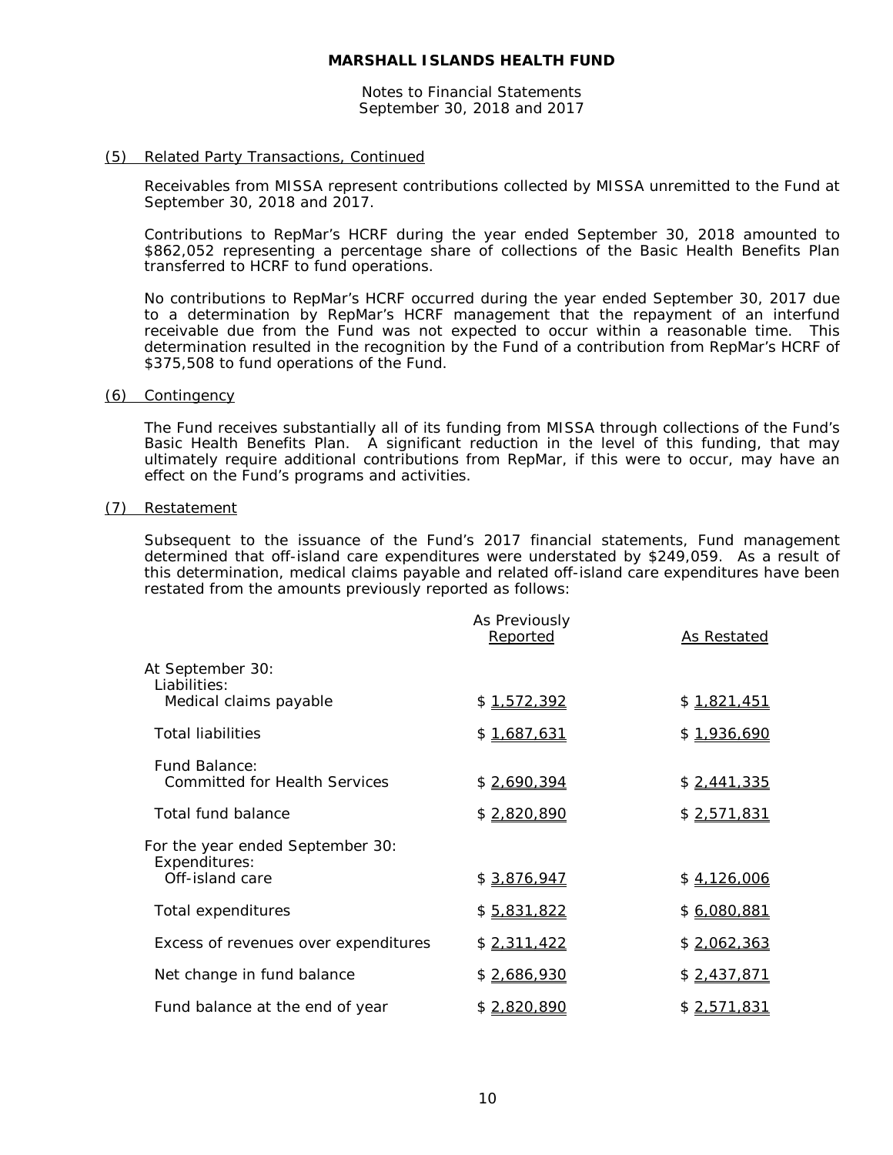Notes to Financial Statements September 30, 2018 and 2017

#### (5) Related Party Transactions, Continued

Receivables from MISSA represent contributions collected by MISSA unremitted to the Fund at September 30, 2018 and 2017.

Contributions to RepMar's HCRF during the year ended September 30, 2018 amounted to \$862,052 representing a percentage share of collections of the Basic Health Benefits Plan transferred to HCRF to fund operations.

No contributions to RepMar's HCRF occurred during the year ended September 30, 2017 due to a determination by RepMar's HCRF management that the repayment of an interfund receivable due from the Fund was not expected to occur within a reasonable time. This determination resulted in the recognition by the Fund of a contribution from RepMar's HCRF of \$375,508 to fund operations of the Fund.

#### (6) Contingency

The Fund receives substantially all of its funding from MISSA through collections of the Fund's Basic Health Benefits Plan. A significant reduction in the level of this funding, that may ultimately require additional contributions from RepMar, if this were to occur, may have an effect on the Fund's programs and activities.

#### (7) Restatement

Subsequent to the issuance of the Fund's 2017 financial statements, Fund management determined that off-island care expenditures were understated by \$249,059. As a result of this determination, medical claims payable and related off-island care expenditures have been restated from the amounts previously reported as follows:

|                                                   | As Previously<br>Reported | <b>As Restated</b> |
|---------------------------------------------------|---------------------------|--------------------|
| At September 30:<br>Liabilities:                  |                           |                    |
| Medical claims payable                            | \$1,572,392               | \$1,821,451        |
| <b>Total liabilities</b>                          | \$1,687,631               | \$1,936,690        |
| Fund Balance:                                     |                           |                    |
| <b>Committed for Health Services</b>              | \$2,690,394               | \$2,441,335        |
| Total fund balance                                | \$2,820,890               | \$2,571,831        |
| For the year ended September 30:<br>Expenditures: |                           |                    |
| Off-island care                                   | \$3,876,947               | \$4,126,006        |
| Total expenditures                                | \$5,831,822               | \$6,080,881        |
| Excess of revenues over expenditures              | \$2,311,422               | \$2,062,363        |
| Net change in fund balance                        | \$2,686,930               | \$2,437,871        |
| Fund balance at the end of year                   | \$2,820,890               | \$2,571,831        |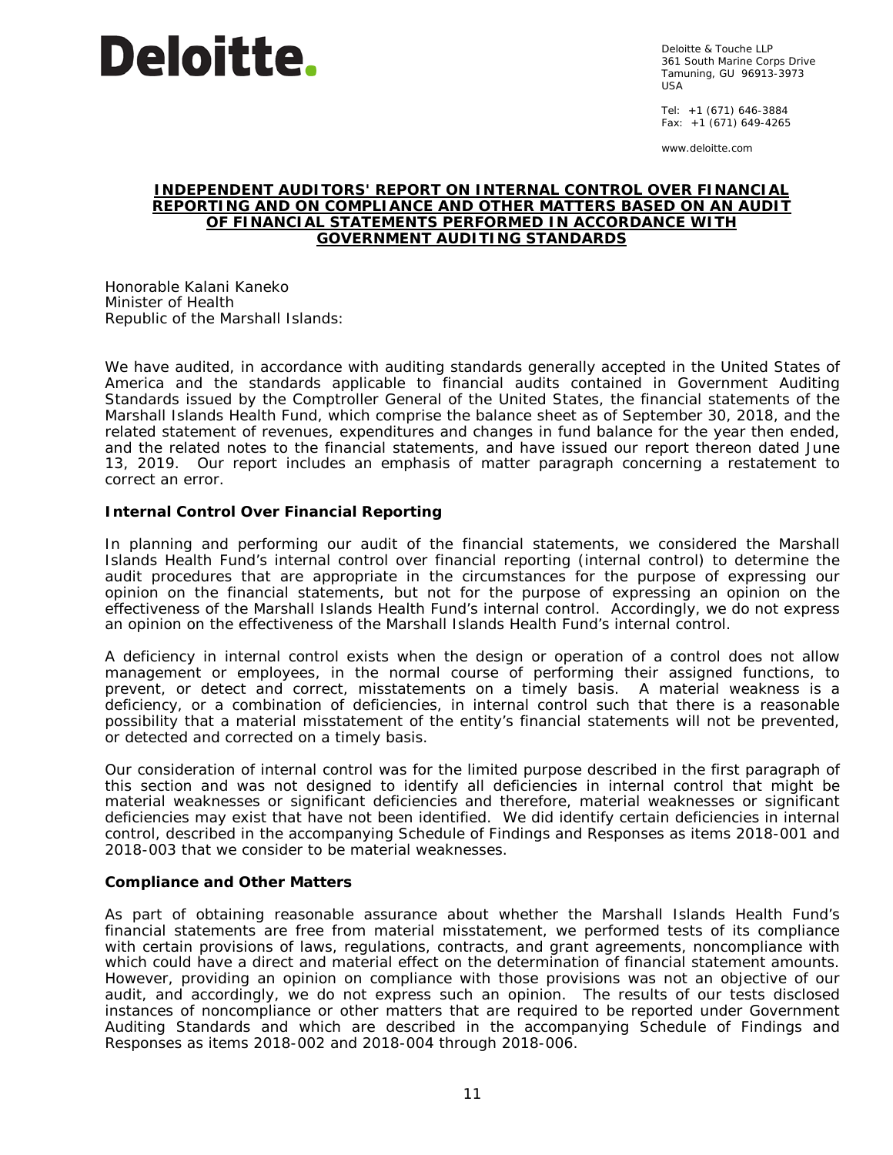

Deloitte & Touche LLP 361 South Marine Corps Drive Tamuning, GU 96913-3973 USA

Tel: +1 (671) 646-3884 Fax: +1 (671) 649-4265

www.deloitte.com

#### **INDEPENDENT AUDITORS' REPORT ON INTERNAL CONTROL OVER FINANCIAL REPORTING AND ON COMPLIANCE AND OTHER MATTERS BASED ON AN AUDIT OF FINANCIAL STATEMENTS PERFORMED IN ACCORDANCE WITH** *GOVERNMENT AUDITING STANDARDS*

Honorable Kalani Kaneko Minister of Health Republic of the Marshall Islands:

We have audited, in accordance with auditing standards generally accepted in the United States of America and the standards applicable to financial audits contained in *Government Auditing Standards* issued by the Comptroller General of the United States, the financial statements of the Marshall Islands Health Fund, which comprise the balance sheet as of September 30, 2018, and the related statement of revenues, expenditures and changes in fund balance for the year then ended, and the related notes to the financial statements, and have issued our report thereon dated June 13, 2019. Our report includes an emphasis of matter paragraph concerning a restatement to correct an error.

# **Internal Control Over Financial Reporting**

In planning and performing our audit of the financial statements, we considered the Marshall Islands Health Fund's internal control over financial reporting (internal control) to determine the audit procedures that are appropriate in the circumstances for the purpose of expressing our opinion on the financial statements, but not for the purpose of expressing an opinion on the effectiveness of the Marshall Islands Health Fund's internal control. Accordingly, we do not express an opinion on the effectiveness of the Marshall Islands Health Fund's internal control.

A *deficiency in internal control* exists when the design or operation of a control does not allow management or employees, in the normal course of performing their assigned functions, to prevent, or detect and correct, misstatements on a timely basis. A *material weakness* is a deficiency, or a combination of deficiencies, in internal control such that there is a reasonable possibility that a material misstatement of the entity's financial statements will not be prevented, or detected and corrected on a timely basis.

Our consideration of internal control was for the limited purpose described in the first paragraph of this section and was not designed to identify all deficiencies in internal control that might be material weaknesses or significant deficiencies and therefore, material weaknesses or significant deficiencies may exist that have not been identified. We did identify certain deficiencies in internal control, described in the accompanying Schedule of Findings and Responses as items 2018-001 and 2018-003 that we consider to be material weaknesses.

#### **Compliance and Other Matters**

As part of obtaining reasonable assurance about whether the Marshall Islands Health Fund's financial statements are free from material misstatement, we performed tests of its compliance with certain provisions of laws, regulations, contracts, and grant agreements, noncompliance with which could have a direct and material effect on the determination of financial statement amounts. However, providing an opinion on compliance with those provisions was not an objective of our audit, and accordingly, we do not express such an opinion. The results of our tests disclosed instances of noncompliance or other matters that are required to be reported under *Government Auditing Standards* and which are described in the accompanying Schedule of Findings and Responses as items 2018-002 and 2018-004 through 2018-006.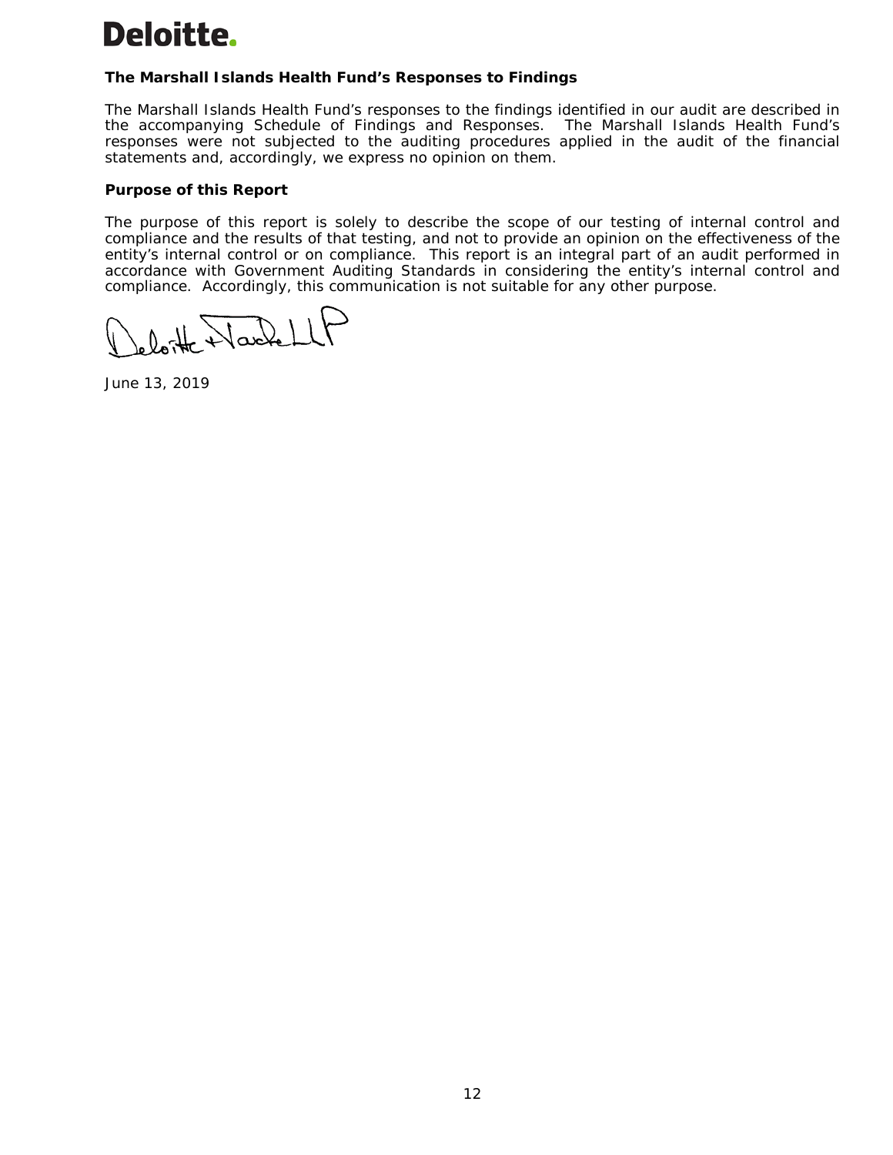# Deloitte.

# **The Marshall Islands Health Fund's Responses to Findings**

The Marshall Islands Health Fund's responses to the findings identified in our audit are described in the accompanying Schedule of Findings and Responses. The Marshall Islands Health Fund's responses were not subjected to the auditing procedures applied in the audit of the financial statements and, accordingly, we express no opinion on them.

# **Purpose of this Report**

The purpose of this report is solely to describe the scope of our testing of internal control and compliance and the results of that testing, and not to provide an opinion on the effectiveness of the entity's internal control or on compliance. This report is an integral part of an audit performed in accordance with *Government Auditing Standards* in considering the entity's internal control and compliance. Accordingly, this communication is not suitable for any other purpose.

lette Harlet

June 13, 2019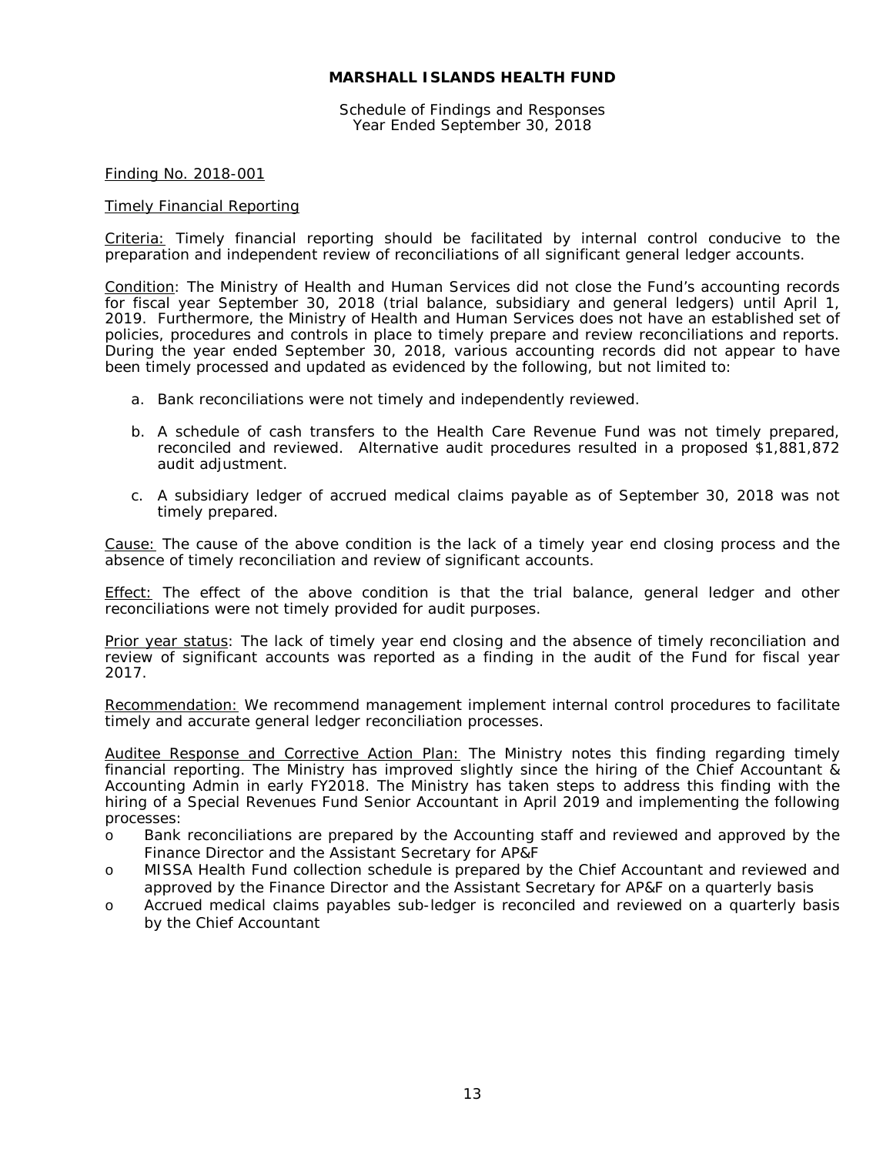Schedule of Findings and Responses Year Ended September 30, 2018

#### Finding No. 2018-001

#### Timely Financial Reporting

Criteria: Timely financial reporting should be facilitated by internal control conducive to the preparation and independent review of reconciliations of all significant general ledger accounts.

Condition: The Ministry of Health and Human Services did not close the Fund's accounting records for fiscal year September 30, 2018 (trial balance, subsidiary and general ledgers) until April 1, 2019. Furthermore, the Ministry of Health and Human Services does not have an established set of policies, procedures and controls in place to timely prepare and review reconciliations and reports. During the year ended September 30, 2018, various accounting records did not appear to have been timely processed and updated as evidenced by the following, but not limited to:

- a. Bank reconciliations were not timely and independently reviewed.
- b. A schedule of cash transfers to the Health Care Revenue Fund was not timely prepared, reconciled and reviewed. Alternative audit procedures resulted in a proposed \$1,881,872 audit adjustment.
- c. A subsidiary ledger of accrued medical claims payable as of September 30, 2018 was not timely prepared.

Cause: The cause of the above condition is the lack of a timely year end closing process and the absence of timely reconciliation and review of significant accounts.

**Effect:** The effect of the above condition is that the trial balance, general ledger and other reconciliations were not timely provided for audit purposes.

Prior year status: The lack of timely year end closing and the absence of timely reconciliation and review of significant accounts was reported as a finding in the audit of the Fund for fiscal year 2017.

Recommendation: We recommend management implement internal control procedures to facilitate timely and accurate general ledger reconciliation processes.

Auditee Response and Corrective Action Plan: The Ministry notes this finding regarding timely financial reporting. The Ministry has improved slightly since the hiring of the Chief Accountant & Accounting Admin in early FY2018. The Ministry has taken steps to address this finding with the hiring of a Special Revenues Fund Senior Accountant in April 2019 and implementing the following processes:

- o Bank reconciliations are prepared by the Accounting staff and reviewed and approved by the Finance Director and the Assistant Secretary for AP&F
- o MISSA Health Fund collection schedule is prepared by the Chief Accountant and reviewed and approved by the Finance Director and the Assistant Secretary for AP&F on a quarterly basis
- o Accrued medical claims payables sub-ledger is reconciled and reviewed on a quarterly basis by the Chief Accountant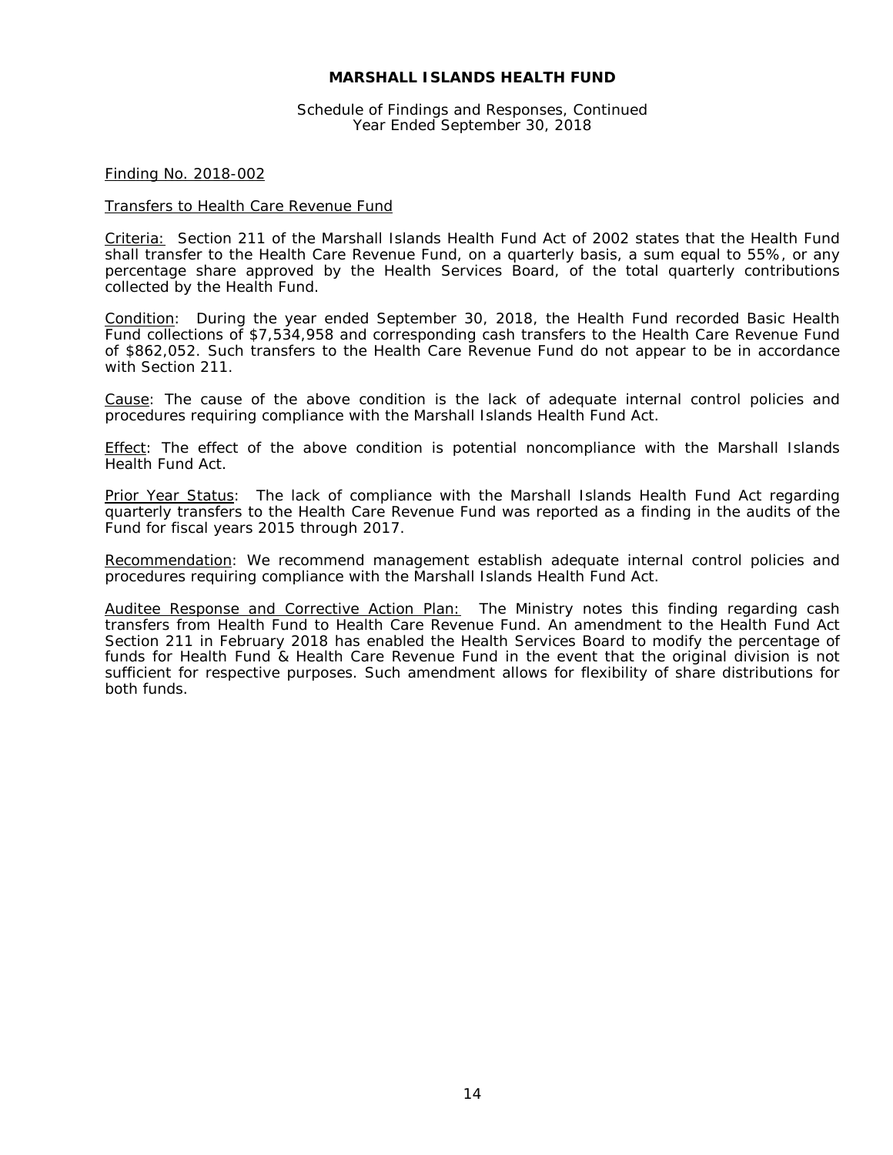Schedule of Findings and Responses, Continued Year Ended September 30, 2018

#### Finding No. 2018-002

#### Transfers to Health Care Revenue Fund

Criteria: Section 211 of the Marshall Islands Health Fund Act of 2002 states that the Health Fund shall transfer to the Health Care Revenue Fund, on a quarterly basis, a sum equal to 55%, or any percentage share approved by the Health Services Board, of the total quarterly contributions collected by the Health Fund.

Condition: During the year ended September 30, 2018, the Health Fund recorded Basic Health Fund collections of \$7,534,958 and corresponding cash transfers to the Health Care Revenue Fund of \$862,052. Such transfers to the Health Care Revenue Fund do not appear to be in accordance with Section 211

Cause: The cause of the above condition is the lack of adequate internal control policies and procedures requiring compliance with the Marshall Islands Health Fund Act.

Effect: The effect of the above condition is potential noncompliance with the Marshall Islands Health Fund Act.

Prior Year Status: The lack of compliance with the Marshall Islands Health Fund Act regarding quarterly transfers to the Health Care Revenue Fund was reported as a finding in the audits of the Fund for fiscal years 2015 through 2017.

Recommendation: We recommend management establish adequate internal control policies and procedures requiring compliance with the Marshall Islands Health Fund Act.

Auditee Response and Corrective Action Plan: The Ministry notes this finding regarding cash transfers from Health Fund to Health Care Revenue Fund. An amendment to the Health Fund Act Section 211 in February 2018 has enabled the Health Services Board to modify the percentage of funds for Health Fund & Health Care Revenue Fund in the event that the original division is not sufficient for respective purposes. Such amendment allows for flexibility of share distributions for both funds.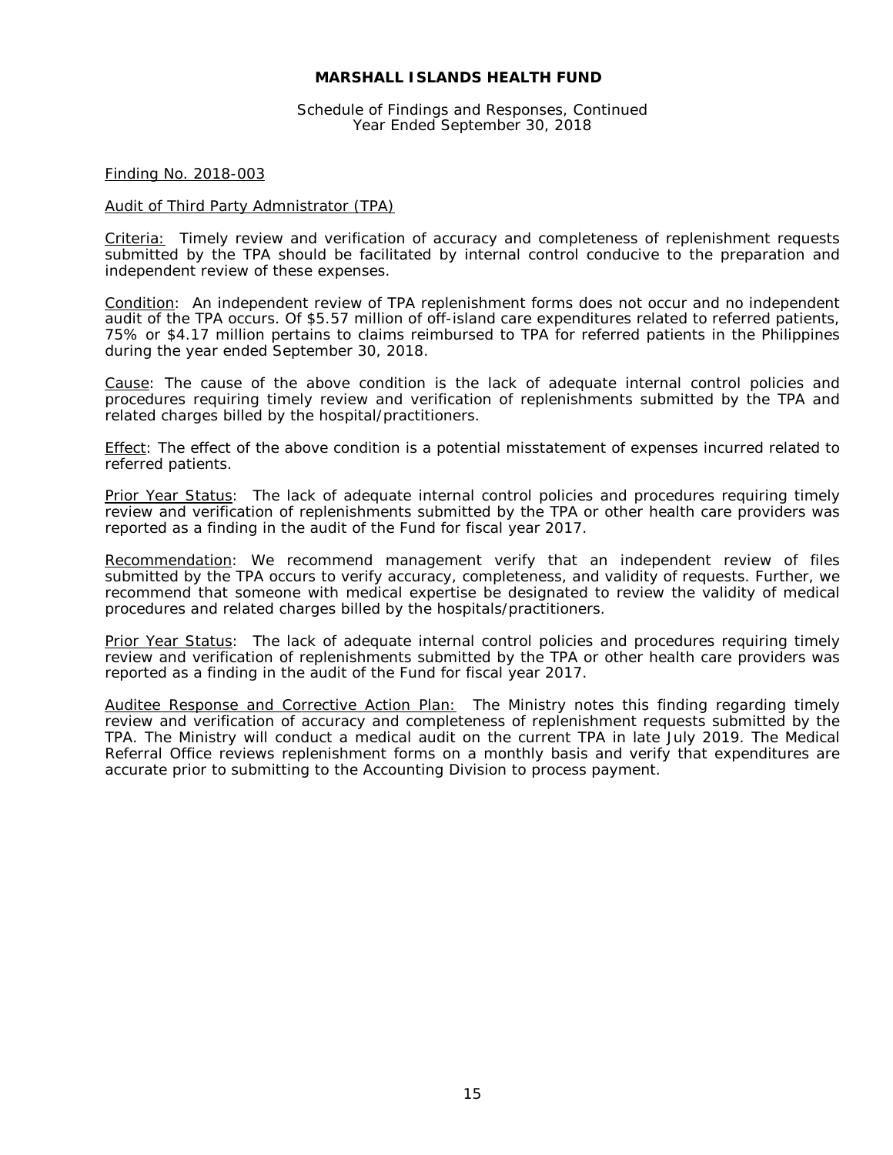Schedule of Findings and Responses, Continued Year Ended September 30, 2018

#### Finding No. 2018-003

#### Audit of Third Party Admnistrator (TPA)

Criteria: Timely review and verification of accuracy and completeness of replenishment requests submitted by the TPA should be facilitated by internal control conducive to the preparation and independent review of these expenses.

Condition: An independent review of TPA replenishment forms does not occur and no independent audit of the TPA occurs. Of \$5.57 million of off-island care expenditures related to referred patients, 75% or \$4.17 million pertains to claims reimbursed to TPA for referred patients in the Philippines during the year ended September 30, 2018.

Cause: The cause of the above condition is the lack of adequate internal control policies and procedures requiring timely review and verification of replenishments submitted by the TPA and related charges billed by the hospital/practitioners.

Effect: The effect of the above condition is a potential misstatement of expenses incurred related to referred patients.

Prior Year Status: The lack of adequate internal control policies and procedures requiring timely review and verification of replenishments submitted by the TPA or other health care providers was reported as a finding in the audit of the Fund for fiscal year 2017.

Recommendation: We recommend management verify that an independent review of files submitted by the TPA occurs to verify accuracy, completeness, and validity of requests. Further, we recommend that someone with medical expertise be designated to review the validity of medical procedures and related charges billed by the hospitals/practitioners.

Prior Year Status: The lack of adequate internal control policies and procedures requiring timely review and verification of replenishments submitted by the TPA or other health care providers was reported as a finding in the audit of the Fund for fiscal year 2017.

Auditee Response and Corrective Action Plan: The Ministry notes this finding regarding timely review and verification of accuracy and completeness of replenishment requests submitted by the TPA. The Ministry will conduct a medical audit on the current TPA in late July 2019. The Medical Referral Office reviews replenishment forms on a monthly basis and verify that expenditures are accurate prior to submitting to the Accounting Division to process payment.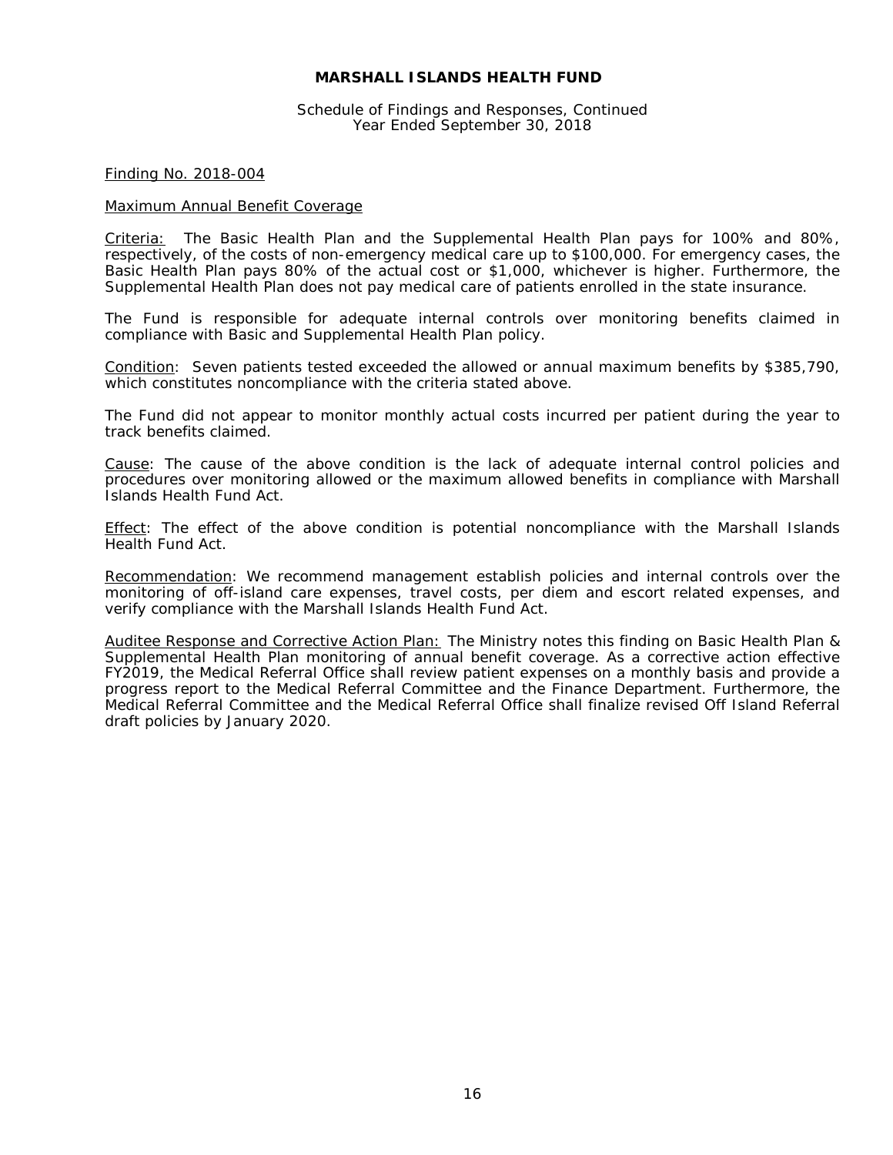Schedule of Findings and Responses, Continued Year Ended September 30, 2018

#### Finding No. 2018-004

#### Maximum Annual Benefit Coverage

Criteria: The Basic Health Plan and the Supplemental Health Plan pays for 100% and 80%, respectively, of the costs of non-emergency medical care up to \$100,000. For emergency cases, the Basic Health Plan pays 80% of the actual cost or \$1,000, whichever is higher. Furthermore, the Supplemental Health Plan does not pay medical care of patients enrolled in the state insurance.

The Fund is responsible for adequate internal controls over monitoring benefits claimed in compliance with Basic and Supplemental Health Plan policy.

Condition: Seven patients tested exceeded the allowed or annual maximum benefits by \$385,790, which constitutes noncompliance with the criteria stated above.

The Fund did not appear to monitor monthly actual costs incurred per patient during the year to track benefits claimed.

Cause: The cause of the above condition is the lack of adequate internal control policies and procedures over monitoring allowed or the maximum allowed benefits in compliance with Marshall Islands Health Fund Act.

Effect: The effect of the above condition is potential noncompliance with the Marshall Islands Health Fund Act.

Recommendation: We recommend management establish policies and internal controls over the monitoring of off-island care expenses, travel costs, per diem and escort related expenses, and verify compliance with the Marshall Islands Health Fund Act.

Auditee Response and Corrective Action Plan: The Ministry notes this finding on Basic Health Plan & Supplemental Health Plan monitoring of annual benefit coverage. As a corrective action effective FY2019, the Medical Referral Office shall review patient expenses on a monthly basis and provide a progress report to the Medical Referral Committee and the Finance Department. Furthermore, the Medical Referral Committee and the Medical Referral Office shall finalize revised Off Island Referral draft policies by January 2020.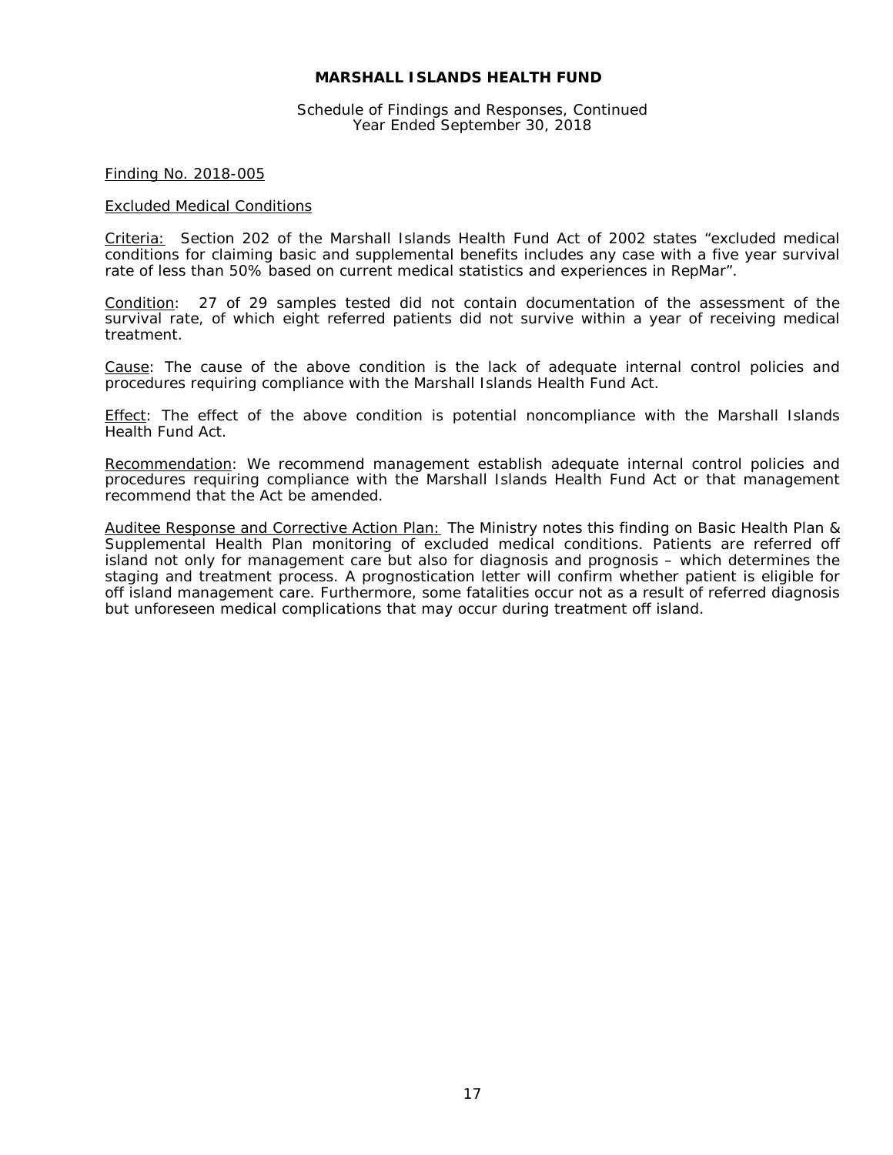Schedule of Findings and Responses, Continued Year Ended September 30, 2018

#### Finding No. 2018-005

#### Excluded Medical Conditions

Criteria: Section 202 of the Marshall Islands Health Fund Act of 2002 states "excluded medical conditions for claiming basic and supplemental benefits includes any case with a five year survival rate of less than 50% based on current medical statistics and experiences in RepMar".

Condition: 27 of 29 samples tested did not contain documentation of the assessment of the survival rate, of which eight referred patients did not survive within a year of receiving medical treatment.

Cause: The cause of the above condition is the lack of adequate internal control policies and procedures requiring compliance with the Marshall Islands Health Fund Act.

Effect: The effect of the above condition is potential noncompliance with the Marshall Islands Health Fund Act.

Recommendation: We recommend management establish adequate internal control policies and procedures requiring compliance with the Marshall Islands Health Fund Act or that management recommend that the Act be amended.

Auditee Response and Corrective Action Plan: The Ministry notes this finding on Basic Health Plan & Supplemental Health Plan monitoring of excluded medical conditions. Patients are referred off island not only for management care but also for diagnosis and prognosis – which determines the staging and treatment process. A prognostication letter will confirm whether patient is eligible for off island management care. Furthermore, some fatalities occur not as a result of referred diagnosis but unforeseen medical complications that may occur during treatment off island.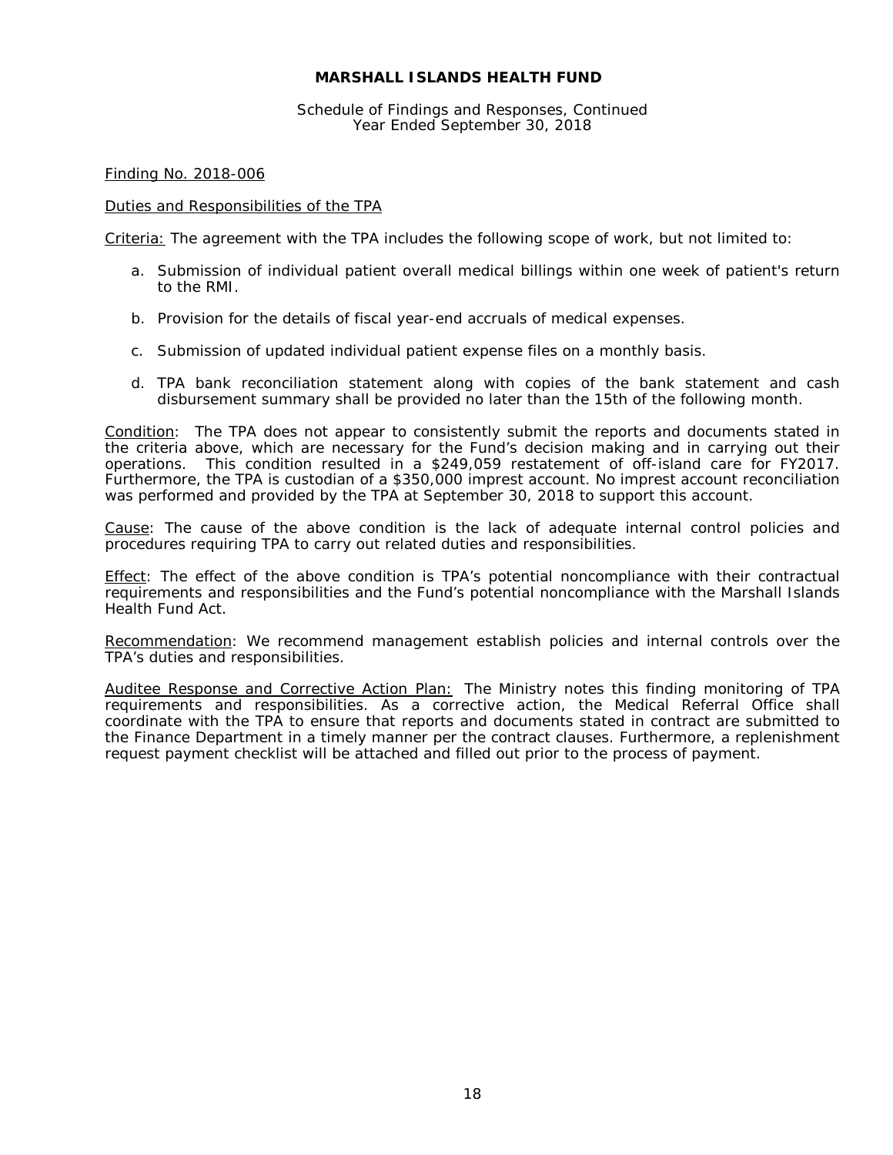Schedule of Findings and Responses, Continued Year Ended September 30, 2018

#### Finding No. 2018-006

#### Duties and Responsibilities of the TPA

Criteria: The agreement with the TPA includes the following scope of work, but not limited to:

- a. Submission of individual patient overall medical billings within one week of patient's return to the RMI.
- b. Provision for the details of fiscal year-end accruals of medical expenses.
- c. Submission of updated individual patient expense files on a monthly basis.
- d. TPA bank reconciliation statement along with copies of the bank statement and cash disbursement summary shall be provided no later than the 15th of the following month.

Condition: The TPA does not appear to consistently submit the reports and documents stated in the criteria above, which are necessary for the Fund's decision making and in carrying out their<br>operations. This condition resulted in a \$249.059 restatement of off-island care for FY2017. This condition resulted in a \$249,059 restatement of off-island care for FY2017. Furthermore, the TPA is custodian of a \$350,000 imprest account. No imprest account reconciliation was performed and provided by the TPA at September 30, 2018 to support this account.

Cause: The cause of the above condition is the lack of adequate internal control policies and procedures requiring TPA to carry out related duties and responsibilities.

Effect: The effect of the above condition is TPA's potential noncompliance with their contractual requirements and responsibilities and the Fund's potential noncompliance with the Marshall Islands Health Fund Act.

Recommendation: We recommend management establish policies and internal controls over the TPA's duties and responsibilities.

Auditee Response and Corrective Action Plan: The Ministry notes this finding monitoring of TPA requirements and responsibilities. As a corrective action, the Medical Referral Office shall coordinate with the TPA to ensure that reports and documents stated in contract are submitted to the Finance Department in a timely manner per the contract clauses. Furthermore, a replenishment request payment checklist will be attached and filled out prior to the process of payment.